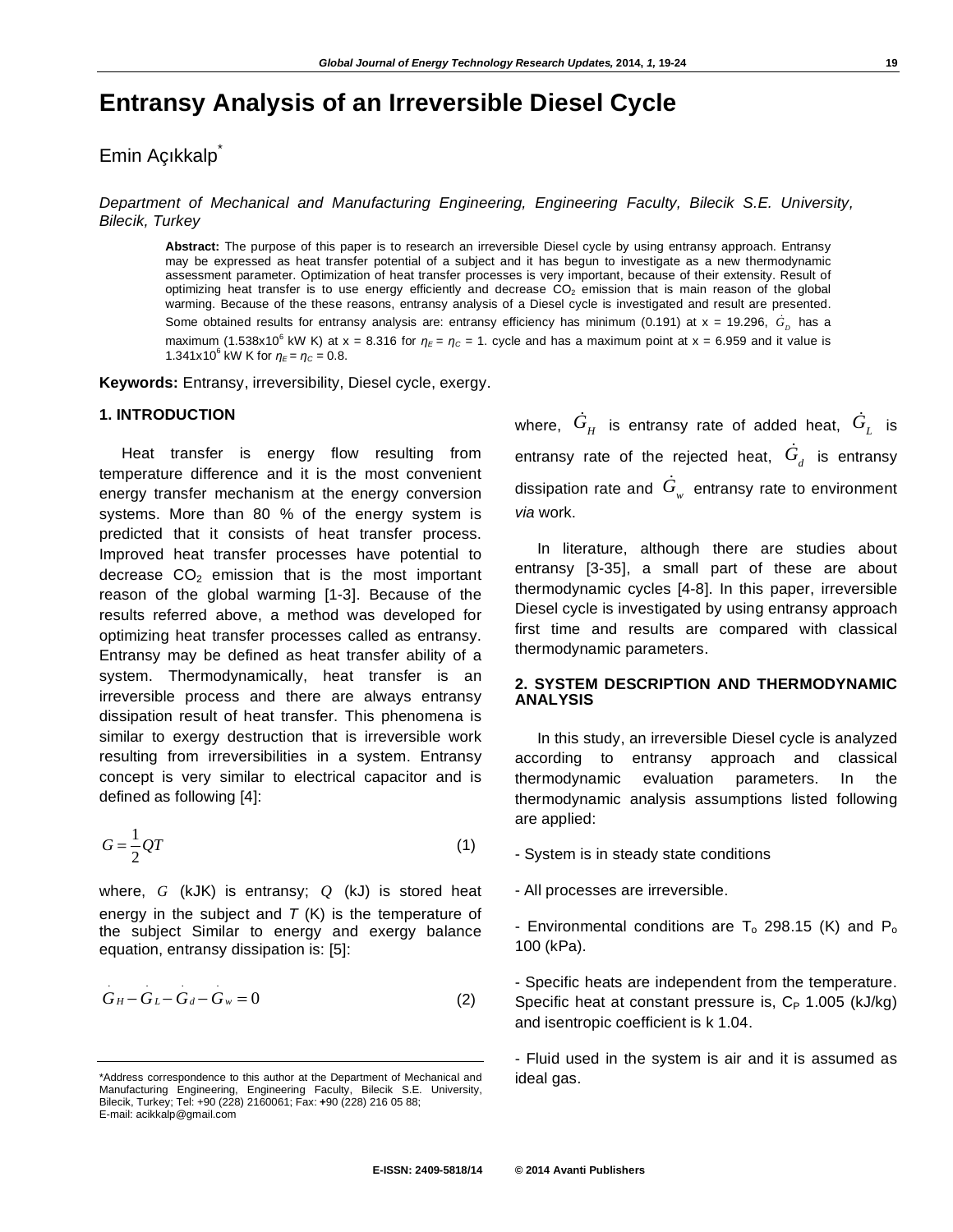# **Entransy Analysis of an Irreversible Diesel Cycle**

## Emin Açıkkalp<sup>\*</sup>

*Department of Mechanical and Manufacturing Engineering, Engineering Faculty, Bilecik S.E. University, Bilecik, Turkey* 

**Abstract:** The purpose of this paper is to research an irreversible Diesel cycle by using entransy approach. Entransy may be expressed as heat transfer potential of a subject and it has begun to investigate as a new thermodynamic assessment parameter. Optimization of heat transfer processes is very important, because of their extensity. Result of optimizing heat transfer is to use energy efficiently and decrease  $CO<sub>2</sub>$  emission that is main reason of the global warming. Because of the these reasons, entransy analysis of a Diesel cycle is investigated and result are presented. Some obtained results for entransy analysis are: entransy efficiency has minimum (0.191) at x = 19.296,  $\dot{G}_{_D}$  has a maximum (1.538x10<sup>6</sup> kW K) at x = 8.316 for  $\eta_{\epsilon} = \eta_c = 1$ . cycle and has a maximum point at x = 6.959 and it value is 1.341x10<sup>6</sup> kW K for  $\eta_E = \eta_C = 0.8$ .

**Keywords:** Entransy, irreversibility, Diesel cycle, exergy.

#### **1. INTRODUCTION**

.

.

.

.

Heat transfer is energy flow resulting from temperature difference and it is the most convenient energy transfer mechanism at the energy conversion systems. More than 80 % of the energy system is predicted that it consists of heat transfer process. Improved heat transfer processes have potential to decrease  $CO<sub>2</sub>$  emission that is the most important reason of the global warming [1-3]. Because of the results referred above, a method was developed for optimizing heat transfer processes called as entransy. Entransy may be defined as heat transfer ability of a system. Thermodynamically, heat transfer is an irreversible process and there are always entransy dissipation result of heat transfer. This phenomena is similar to exergy destruction that is irreversible work resulting from irreversibilities in a system. Entransy concept is very similar to electrical capacitor and is defined as following [4]:

$$
G = \frac{1}{2}QT
$$
 (1)

where, *G* (kJK) is entransy; *Q* (kJ) is stored heat energy in the subject and *T* (K) is the temperature of the subject Similar to energy and exergy balance equation, entransy dissipation is: [5]:

$$
G_H - G_L - G_d - G_w = 0 \tag{2}
$$

where,  $\, \dot{G}_{\scriptscriptstyle H} \,$  is entransy rate of added heat,  $\, \dot{G}_{\scriptscriptstyle L} \,$  is entransy rate of the rejected heat,  $\dot{G}_{d}$  is entransy dissipation rate and  $\dot{G}_{_W}$  entransy rate to environment *via* work.

In literature, although there are studies about entransy [3-35], a small part of these are about thermodynamic cycles [4-8]. In this paper, irreversible Diesel cycle is investigated by using entransy approach first time and results are compared with classical thermodynamic parameters.

### **2. SYSTEM DESCRIPTION AND THERMODYNAMIC ANALYSIS**

In this study, an irreversible Diesel cycle is analyzed according to entransy approach and classical thermodynamic evaluation parameters. In the thermodynamic analysis assumptions listed following are applied:

- System is in steady state conditions
- All processes are irreversible.

- Environmental conditions are  $T_0$  298.15 (K) and  $P_0$ 100 (kPa).

- Specific heats are independent from the temperature. Specific heat at constant pressure is,  $C_P$  1.005 (kJ/kg) and isentropic coefficient is k 1.04.

- Fluid used in the system is air and it is assumed as ideal gas.

<sup>\*</sup>Address correspondence to this author at the Department of Mechanical and Manufacturing Engineering, Engineering Faculty, Bilecik S.E. University, Bilecik, Turkey; Tel: +90 (228) 2160061; Fax: **+**90 (228) 216 05 88; E-mail: acikkalp@gmail.com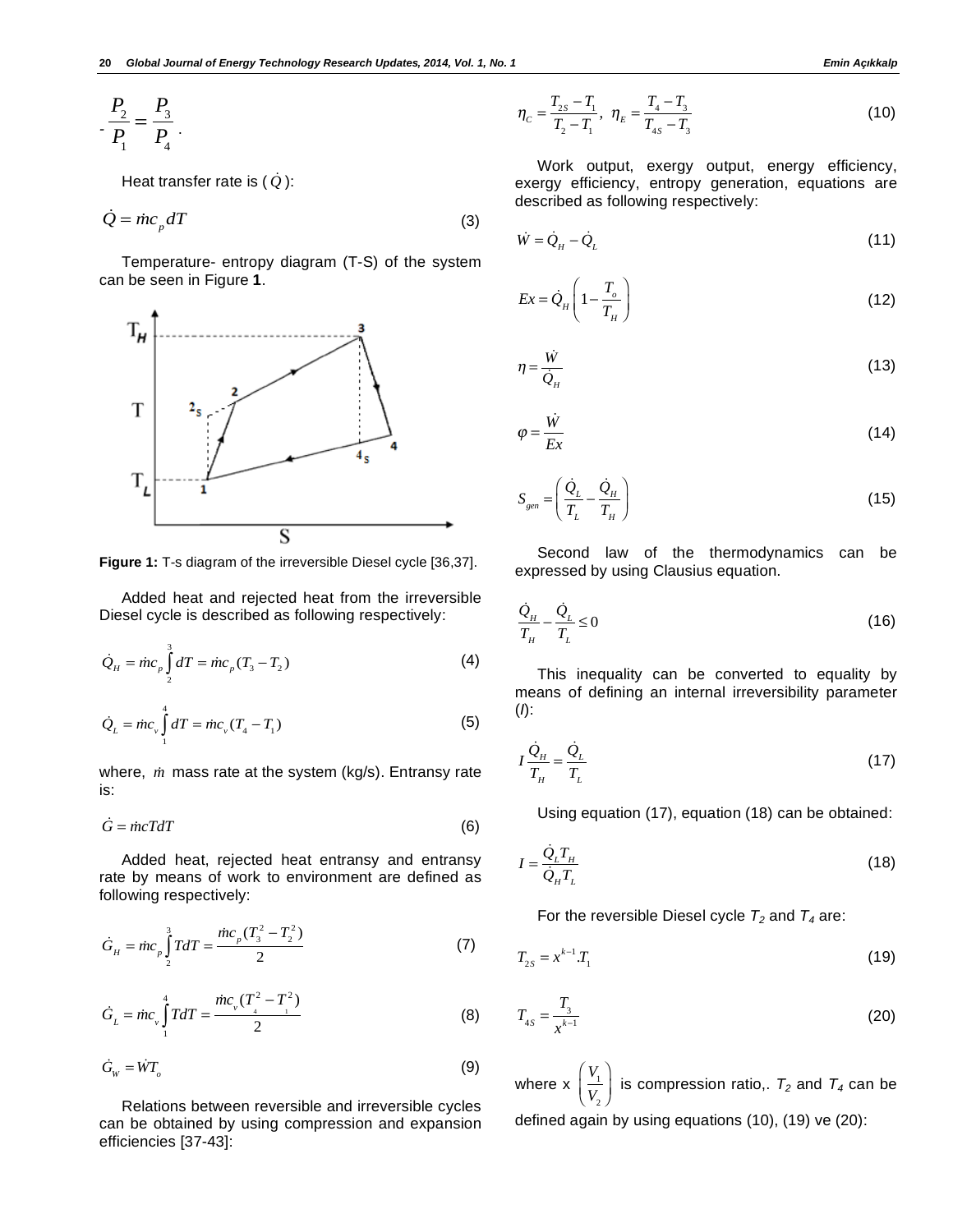$$
P_2 = \frac{P_3}{P_1}.
$$

Heat transfer rate is  $(\dot{Q})$ :

$$
\dot{Q} = \dot{m}c_p dT \tag{3}
$$

Temperature- entropy diagram (T-S) of the system can be seen in Figure **1**.



**Figure 1:** T-s diagram of the irreversible Diesel cycle [36,37].

Added heat and rejected heat from the irreversible Diesel cycle is described as following respectively:

$$
\dot{Q}_H = \dot{m}c_p \int_2^3 dT = \dot{m}c_p (T_3 - T_2)
$$
 (4)

$$
\dot{Q}_L = \dot{m}c_v \int_{1}^{4} dT = \dot{m}c_v (T_4 - T_1)
$$
\n(5)

where, *m* mass rate at the system (kg/s). Entransy rate is:

$$
\dot{G} = \dot{m}cTdT \tag{6}
$$

Added heat, rejected heat entransy and entransy rate by means of work to environment are defined as following respectively:

$$
\dot{G}_H = \dot{m}c_p \int_2^3 T dT = \frac{\dot{m}c_p (T_3^2 - T_2^2)}{2}
$$
 (7)

$$
\dot{G}_{L} = \dot{m}c_{v} \int_{1}^{4} T dT = \frac{\dot{m}c_{v}(T_{4}^{2} - T_{1}^{2})}{2}
$$
 (8)

$$
\dot{G}_{\scriptscriptstyle W} = \dot{W} T_{\scriptscriptstyle O} \tag{9}
$$

Relations between reversible and irreversible cycles can be obtained by using compression and expansion efficiencies [37-43]:

$$
\eta_c = \frac{T_{2s} - T_1}{T_2 - T_1}, \ \eta_E = \frac{T_4 - T_3}{T_{4s} - T_3} \tag{10}
$$

Work output, exergy output, energy efficiency, exergy efficiency, entropy generation, equations are described as following respectively:

$$
\dot{W} = \dot{Q}_{H} - \dot{Q}_{L} \tag{11}
$$

$$
Ex = \dot{Q}_H \left( 1 - \frac{T_o}{T_H} \right) \tag{12}
$$

$$
\eta = \frac{\dot{W}}{\dot{Q}_H} \tag{13}
$$

$$
\varphi = \frac{\dot{W}}{Ex} \tag{14}
$$

$$
S_{gen} = \left(\frac{\dot{Q}_L}{T_L} - \frac{\dot{Q}_H}{T_H}\right) \tag{15}
$$

Second law of the thermodynamics can be expressed by using Clausius equation.

$$
\frac{\dot{Q}_H}{T_H} - \frac{\dot{Q}_L}{T_L} \le 0\tag{16}
$$

This inequality can be converted to equality by means of defining an internal irreversibility parameter (*I*):

$$
I\frac{\dot{Q}_H}{T_H} = \frac{\dot{Q}_L}{T_L} \tag{17}
$$

Using equation (17), equation (18) can be obtained:

$$
I = \frac{\dot{Q}_L T_H}{\dot{Q}_H T_L} \tag{18}
$$

For the reversible Diesel cycle  $T_2$  and  $T_4$  are:

$$
T_{2S} = x^{k-1} T_1 \tag{19}
$$

$$
T_{4S} = \frac{T_3}{x^{k-1}}
$$
 (20)

where  $x = \frac{V_1}{V_2}$  $V_{2}$ ſ  $\overline{\phantom{a}}$  $\lambda$ is compression ratio,.  $T_2$  and  $T_4$  can be defined again by using equations (10), (19) ve (20):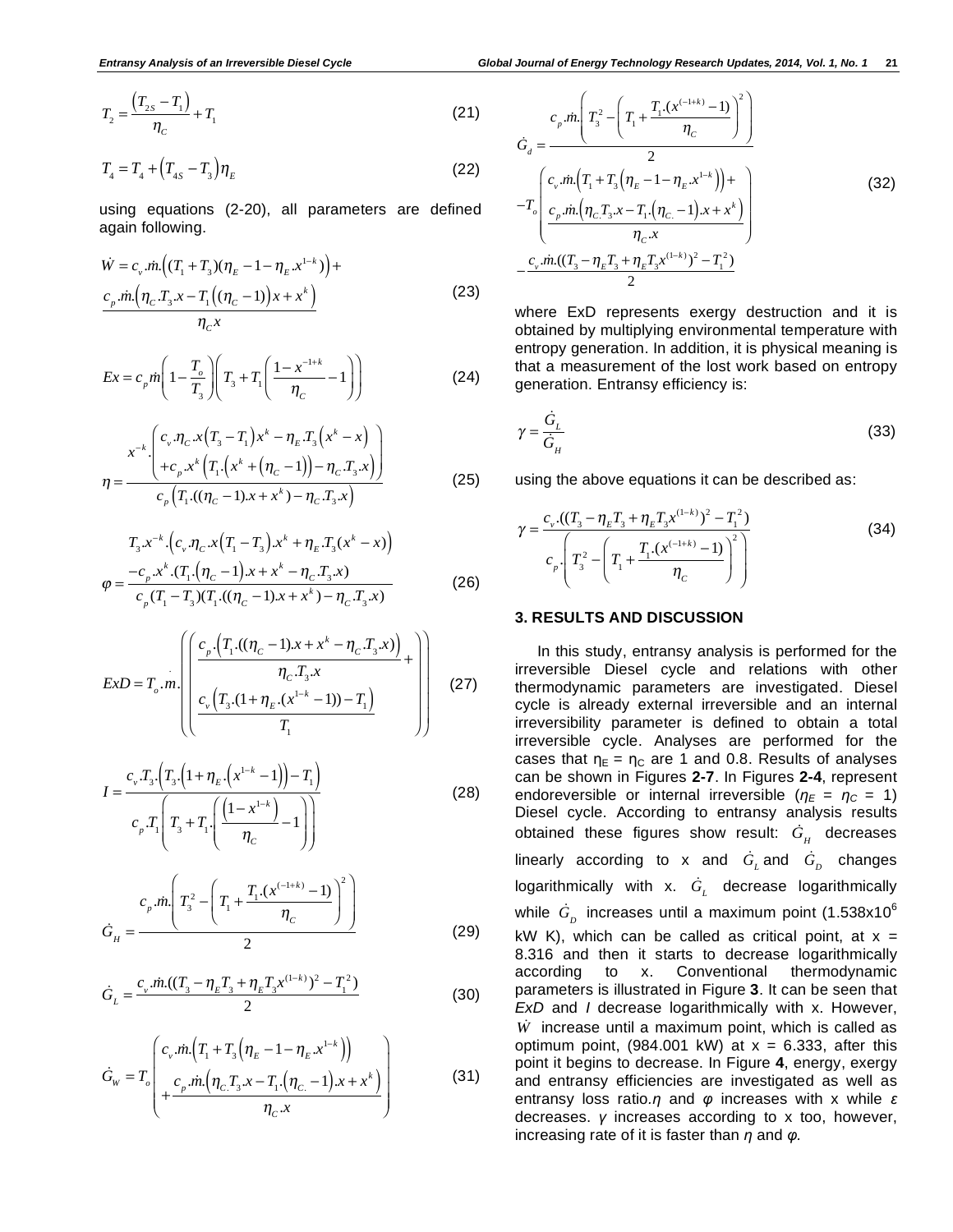$$
T_2 = \frac{(T_{2s} - T_1)}{\eta_c} + T_1
$$
 (21)

$$
T_4 = T_4 + \left(T_{4S} - T_3\right)\eta_E
$$
\n(22)

using equations (2-20), all parameters are defined again following.

$$
\dot{W} = c_{v} \dot{m} \left( (T_{1} + T_{3})(\eta_{E} - 1 - \eta_{E} x^{1-k}) \right) + \frac{c_{p} \dot{m} \left( \eta_{C} T_{3} x - T_{1} \left( (\eta_{C} - 1) \right) x + x^{k} \right)}{\eta_{C} x}
$$
\n(23)

$$
Ex = c_p m \left( 1 - \frac{T_o}{T_3} \right) \left( T_3 + T_1 \left( \frac{1 - x^{-1 + k}}{\eta_c} - 1 \right) \right)
$$
 (24)

$$
\eta = \frac{x^{-k} \left( c_v \cdot \eta_C \cdot x \left( T_3 - T_1 \right) x^k - \eta_E T_3 \left( x^k - x \right) \right)}{c_p \left( T_1 \cdot \left( (\eta_C - 1) x + x^k \right) - \eta_C T_3 \cdot x \right)}
$$
(25)

$$
T_{3}x^{-k} \cdot \left(c_{v} \cdot \eta_{C} x(T_{1} - T_{3}) x^{k} + \eta_{E} T_{3} (x^{k} - x)\right)
$$
  
\n
$$
\varphi = \frac{-c_{p} x^{k} \cdot (T_{1} \cdot (\eta_{C} - 1) x + x^{k} - \eta_{C} T_{3} x)}{c_{p} (T_{1} - T_{3}) (T_{1} \cdot ((\eta_{C} - 1) x + x^{k}) - \eta_{C} T_{3} x)} \tag{26}
$$

$$
ExD = T_o.m.\left(\left(\frac{c_p \cdot (T_1 \cdot ((\eta_c - 1)x + x^k - \eta_c \cdot T_3 \cdot x))}{\eta_c \cdot T_3 \cdot x} + \right)\right)
$$
(27)

$$
I = \frac{c_v T_s \cdot (T_s \cdot (1 + \eta_E \cdot (x^{1-k} - 1)) - T_1)}{c_v T_1 \left( T_s + T_1 \cdot \left( \frac{(1 - x^{1-k})}{\eta_C} - 1 \right) \right)}
$$
(28)

$$
\dot{G}_H = \frac{c_p \sin\left(T_3^2 - \left(T_1 + \frac{T_1 \cdot (x^{(-1+k)} - 1)}{\eta_c}\right)^2\right)}{2} \tag{29}
$$

$$
\dot{G}_L = \frac{c_v \dot{m}((T_3 - \eta_E T_3 + \eta_E T_3 x^{(1-k)})^2 - T_1^2)}{2}
$$
\n(30)

$$
\dot{G}_{w} = T_{o} \left( c_{v} \cdot \dot{m} \left( T_{1} + T_{3} \left( \eta_{E} - 1 - \eta_{E} x^{1-k} \right) \right) + \frac{c_{p} \cdot \dot{m} \left( \eta_{C} T_{3} x - T_{1} \left( \eta_{C} - 1 \right) x + x^{k} \right)}{\eta_{C} x} \right)
$$
(31)

$$
\dot{G}_d = \frac{c_p \sin\left(T_3^2 - \left(T_1 + \frac{T_1 \cdot (x^{(-1+k)} - 1)}{\eta_c}\right)^2\right)}{2}
$$
\n
$$
-T_o \left( \frac{c_v \sin\left(T_1 + T_3 \left(\eta_E - 1 - \eta_E x^{1-k}\right)\right) + \frac{c_p \sin\left(\eta_C T_3 x - T_1 \cdot \left(\eta_C - 1\right) x + x^k\right)}{\eta_c x}\right)
$$
\n
$$
- \frac{c_v \sin\left((T_3 - \eta_E T_3 + \eta_E T_3 x^{(1-k)})^2 - T_1^2\right)}{2}
$$
\n(32)

where ExD represents exergy destruction and it is obtained by multiplying environmental temperature with entropy generation. In addition, it is physical meaning is that a measurement of the lost work based on entropy generation. Entransy efficiency is:

$$
\gamma = \frac{\dot{G}_L}{\dot{G}_H} \tag{33}
$$

using the above equations it can be described as:

$$
\gamma = \frac{c_v \cdot ((T_3 - \eta_E T_3 + \eta_E T_3 x^{(1-k)})^2 - T_1^2)}{c_p \cdot \left(T_3^2 - \left(T_1 + \frac{T_1 \cdot (x^{(1+k)} - 1)}{\eta_C}\right)^2\right)}
$$
(34)

#### **3. RESULTS AND DISCUSSION**

In this study, entransy analysis is performed for the irreversible Diesel cycle and relations with other thermodynamic parameters are investigated. Diesel cycle is already external irreversible and an internal irreversibility parameter is defined to obtain a total irreversible cycle. Analyses are performed for the cases that  $\eta_E = \eta_C$  are 1 and 0.8. Results of analyses can be shown in Figures **2-7**. In Figures **2-4**, represent endoreversible or internal irreversible ( $\eta_E = \eta_C = 1$ ) Diesel cycle. According to entransy analysis results obtained these figures show result:  $\dot{G}_{_H}$  decreases linearly according to x and  $\dot{G}_{L}$  and  $\dot{G}_{D}$  changes logarithmically with x. *G <sup>L</sup>* decrease logarithmically while  $\,\dot G_{_D}\,$  increases until a maximum point (1.538x10 $^6$ kW K), which can be called as critical point, at  $x =$ 8.316 and then it starts to decrease logarithmically according to x. Conventional thermodynamic parameters is illustrated in Figure **3**. It can be seen that *ExD* and *I* decrease logarithmically with x. However, *W* increase until a maximum point, which is called as optimum point, (984.001 kW) at  $x = 6.333$ , after this point it begins to decrease. In Figure **4**, energy, exergy and entransy efficiencies are investigated as well as entransy loss ratio. $\eta$  and  $\varphi$  increases with x while  $\varepsilon$ decreases.  $y$  increases according to  $x$  too, however, increasing rate of it is faster than  $\eta$  and  $\varphi$ .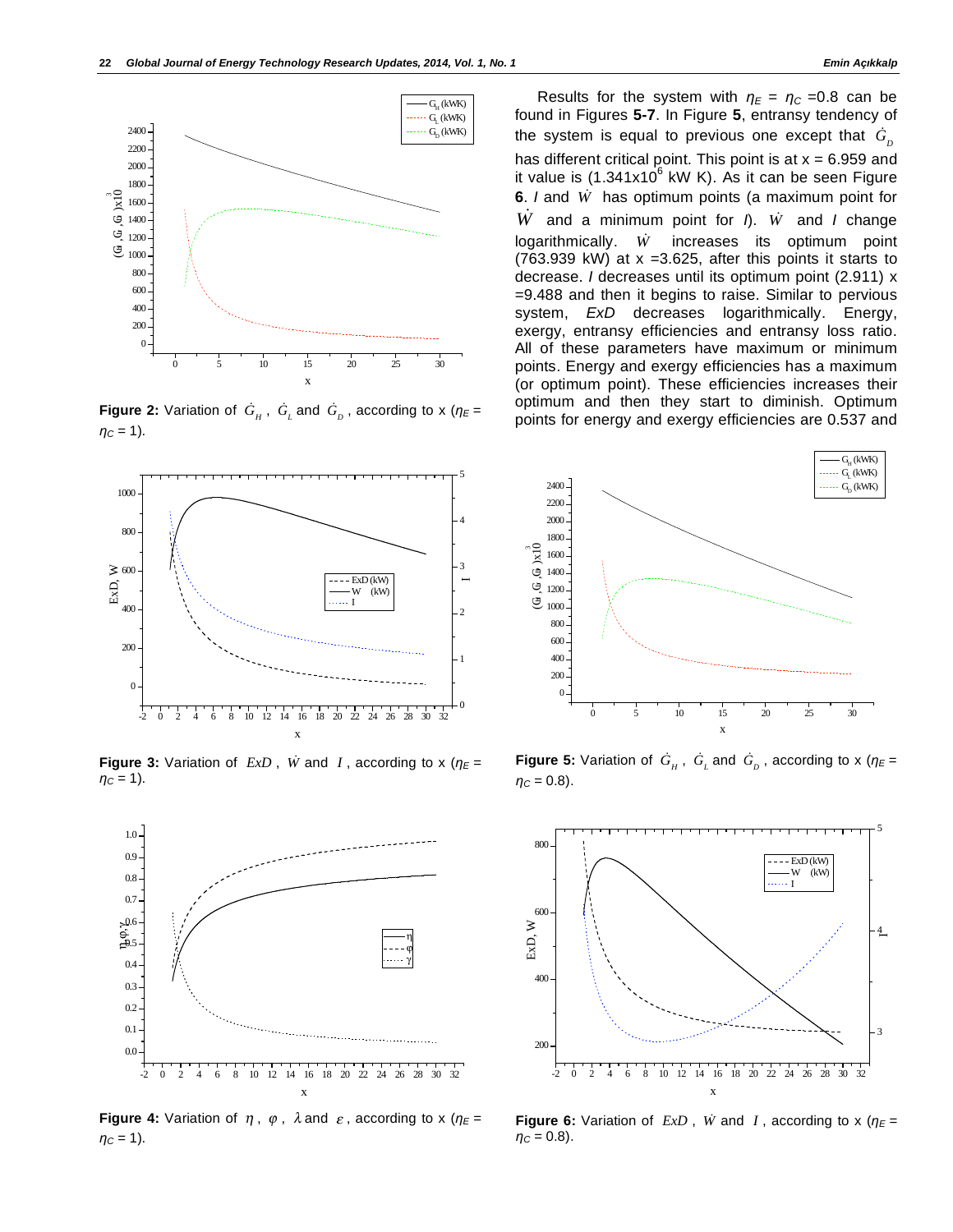

**Figure 2:** Variation of  $\dot{G}_{\mu}$ ,  $\dot{G}_{\mu}$  and  $\dot{G}_{\rho}$ , according to x ( $\eta_{E}$  =  $nc = 1$ ).



**Figure 3:** Variation of  $ExD$ ,  $\dot{W}$  and  $I$ , according to x ( $\eta_E$  =  $\eta_c = 1$ ).



**Figure 4:** Variation of  $\eta$ ,  $\varphi$ ,  $\lambda$  and  $\varepsilon$ , according to x ( $\eta \in$  =  $\eta_c = 1$ ).

Results for the system with  $\eta_E = \eta_C = 0.8$  can be found in Figures **5-7**. In Figure **5**, entransy tendency of the system is equal to previous one except that  $\, {\dot G}_{{\scriptscriptstyle D}} \,$ has different critical point. This point is at  $x = 6.959$  and it value is (1.341x10 $^6$  kW K). As it can be seen Figure **6**. *I* and *W* has optimum points (a maximum point for *W* and a minimum point for *I*). *W* and *I* change logarithmically. *W* increases its optimum point (763.939 kW) at  $x = 3.625$ , after this points it starts to decrease. *I* decreases until its optimum point (2.911) x =9.488 and then it begins to raise. Similar to pervious system, *ExD* decreases logarithmically. Energy, exergy, entransy efficiencies and entransy loss ratio. All of these parameters have maximum or minimum points. Energy and exergy efficiencies has a maximum (or optimum point). These efficiencies increases their optimum and then they start to diminish. Optimum points for energy and exergy efficiencies are 0.537 and



**Figure 5:** Variation of  $G_H$ ,  $G_L$  and  $G_D$ , according to x ( $\eta_E$  =  $\eta_c = 0.8$ ).



**Figure 6:** Variation of  $ExD$ ,  $\dot{W}$  and  $I$ , according to x ( $\eta_E$  =  $\eta_c = 0.8$ ).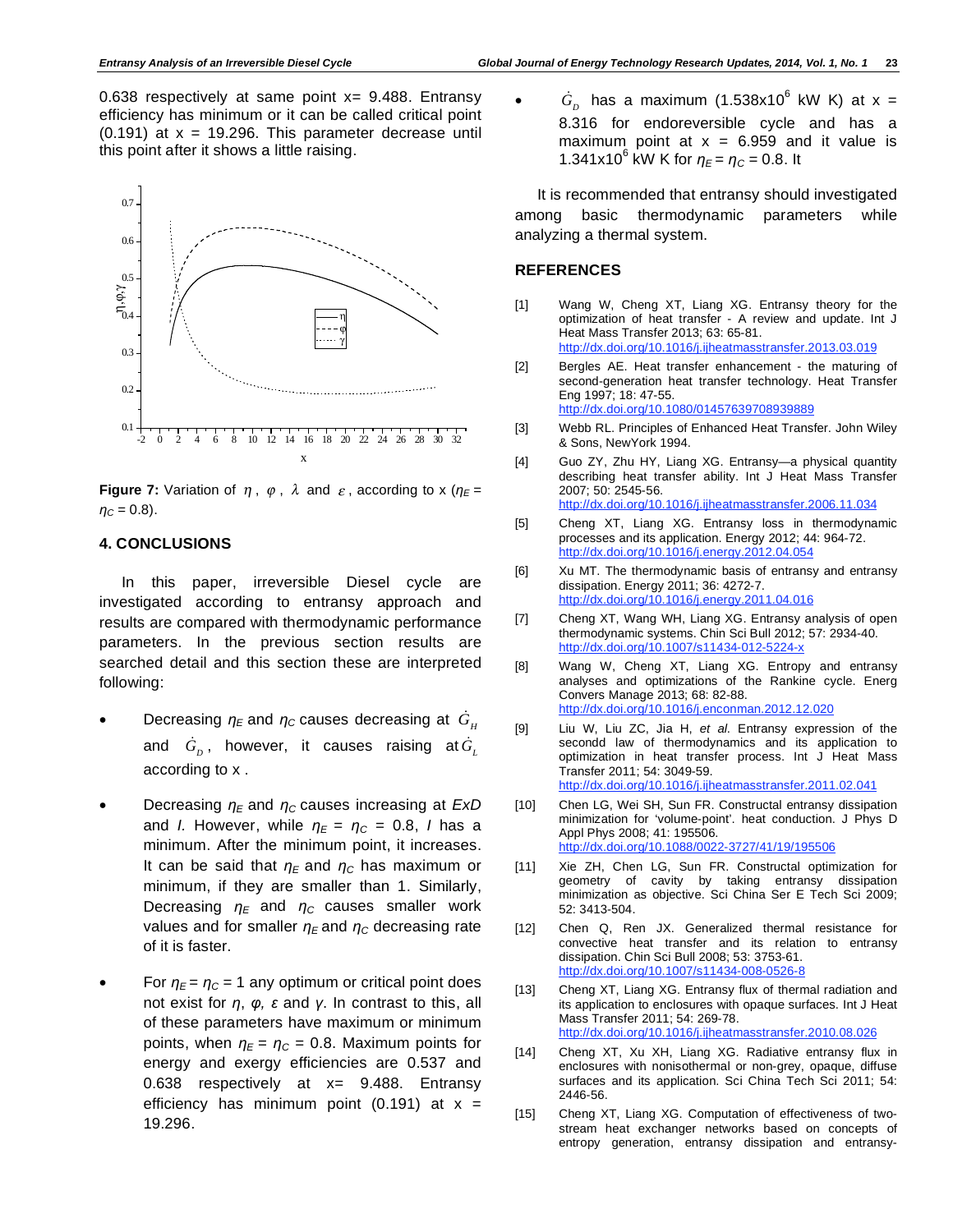0.638 respectively at same point  $x=$  9.488. Entransy efficiency has minimum or it can be called critical point  $(0.191)$  at  $x = 19.296$ . This parameter decrease until this point after it shows a little raising.



**Figure 7:** Variation of  $\eta$ ,  $\varphi$ ,  $\lambda$  and  $\varepsilon$ , according to x ( $\eta \in$  =  $\eta_c = 0.8$ ).

#### **4. CONCLUSIONS**

In this paper, irreversible Diesel cycle are investigated according to entransy approach and results are compared with thermodynamic performance parameters. In the previous section results are searched detail and this section these are interpreted following:

- Decreasing  $\eta_E$  and  $\eta_C$  causes decreasing at  $\dot{G}_{\mu}$ and  $\dot{G}_{_D}$ , however, it causes raising at $\dot{G}_{_L}$ according to x .
- Decreasing  $\eta_E$  and  $\eta_C$  causes increasing at *ExD* and *I.* However, while  $\eta_E = \eta_C = 0.8$ , *I* has a minimum. After the minimum point, it increases. It can be said that  $\eta_F$  and  $\eta_C$  has maximum or minimum, if they are smaller than 1. Similarly, Decreasing  $\eta_F$  and  $\eta_C$  causes smaller work values and for smaller  $\eta_E$  and  $\eta_C$  decreasing rate of it is faster.
- For  $\eta_{\rm E}$  =  $\eta_{\rm C}$  = 1 any optimum or critical point does not exist for  $\eta$ ,  $\varphi$ ,  $\varepsilon$  and  $\gamma$ . In contrast to this, all of these parameters have maximum or minimum points, when  $\eta_E = \eta_C = 0.8$ . Maximum points for energy and exergy efficiencies are 0.537 and 0.638 respectively at  $x=$  9.488. Entransy efficiency has minimum point (0.191) at  $x =$ 19.296.

•  $\dot{G}_{D}$  has a maximum (1.538x10<sup>6</sup> kW K) at x = 8.316 for endoreversible cycle and has a maximum point at  $x = 6.959$  and it value is 1.341x10<sup>6</sup> kW K for  $\eta_E = \eta_C = 0.8$ . It

It is recommended that entransy should investigated among basic thermodynamic parameters while analyzing a thermal system.

#### **REFERENCES**

- [1] Wang W, Cheng XT, Liang XG. Entransy theory for the optimization of heat transfer - A review and update. Int J Heat Mass Transfer 2013; 63: 65-81. http://dx.doi.org/10.1016/j.ijheatmasstransfer.2013.03.019
- [2] Bergles AE. Heat transfer enhancement the maturing of second-generation heat transfer technology. Heat Transfer Eng 1997; 18: 47-55. http://dx.doi.org/10.1080/01457639708939889
- [3] Webb RL. Principles of Enhanced Heat Transfer. John Wiley & Sons, NewYork 1994.
- [4] Guo ZY, Zhu HY, Liang XG. Entransy—a physical quantity describing heat transfer ability. Int J Heat Mass Transfer 2007; 50: 2545-56. http://dx.doi.org/10.1016/j.ijheatmasstransfer.2006.11.034
- [5] Cheng XT, Liang XG. Entransy loss in thermodynamic processes and its application. Energy 2012; 44: 964-72. http://dx.doi.org/10.1016/j.energy.2012.04.054
- [6] Xu MT. The thermodynamic basis of entransy and entransy dissipation. Energy 2011; 36: 4272-7. http://dx.doi.org/10.1016/j.energy.2011.04.016
- [7] Cheng XT, Wang WH, Liang XG. Entransy analysis of open thermodynamic systems. Chin Sci Bull 2012; 57: 2934-40. http://dx.doi.org/10.1007/s11434-012-5224-
- [8] Wang W, Cheng XT, Liang XG. Entropy and entransy analyses and optimizations of the Rankine cycle. Energ Convers Manage 2013; 68: 82-88. http://dx.doi.org/10.1016/j.enconman.2012.12.020
- [9] Liu W, Liu ZC, Jia H, *et al*. Entransy expression of the secondd law of thermodynamics and its application to optimization in heat transfer process. Int J Heat Mass Transfer 2011; 54: 3049-59. http://dx.doi.org/10.1016/j.ijheatmasstransfer.2011.02.041
- [10] Chen LG, Wei SH, Sun FR. Constructal entransy dissipation minimization for 'volume-point'. heat conduction. J Phys D Appl Phys 2008; 41: 195506. http://dx.doi.org/10.1088/0022-3727/41/19/195506
- [11] Xie ZH, Chen LG, Sun FR. Constructal optimization for geometry of cavity by taking entransy dissipation minimization as objective. Sci China Ser E Tech Sci 2009; 52: 3413-504.
- [12] Chen Q, Ren JX. Generalized thermal resistance for convective heat transfer and its relation to entransy dissipation. Chin Sci Bull 2008; 53: 3753-61. http://dx.doi.org/10.1007/s11434-008-0526-8
- [13] Cheng XT, Liang XG. Entransy flux of thermal radiation and its application to enclosures with opaque surfaces. Int J Heat Mass Transfer 2011; 54: 269-78. http://dx.doi.org/10.1016/j.ijheatmasstransfer.2010.08.026
- [14] Cheng XT, Xu XH, Liang XG. Radiative entransy flux in enclosures with nonisothermal or non-grey, opaque, diffuse surfaces and its application. Sci China Tech Sci 2011; 54: 2446-56.
- [15] Cheng XT, Liang XG. Computation of effectiveness of twostream heat exchanger networks based on concepts of entropy generation, entransy dissipation and entransy-